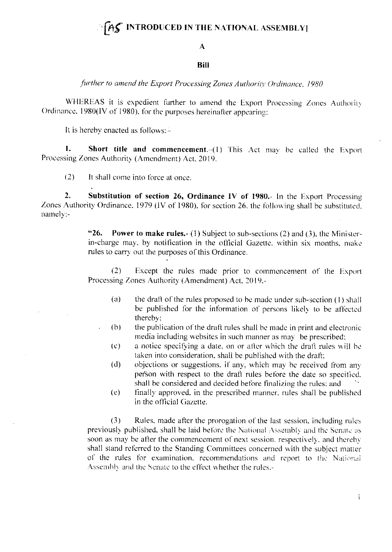## $[AS]$  INTRODUCED IN THE NATIONAL ASSEMBLY

## $\mathbf{A}$

## **Bill**

further to amend the Export Processing Zones Authority Ordinance, 1980

WHEREAS it is expedient further to amend the Export Processing Zones Authority Ordinance, 1980(IV of 1980), for the purposes hereinafter appearing;

It is hereby enacted as follows: $-$ 

 $\mathbf{1}$ . Short title and commencement.-(1) This Act may be called the Export Processing Zones Authority (Amendment) Act, 2019.

 $(2)$ It shall come into force at once.

 $\overline{2}$ . Substitution of section 26, Ordinance IV of 1980.- In the Export Processing Zones Authority Ordinance, 1979 (IV of 1980), for section 26, the following shall be substituted. namely:-

> $"26.$ **Power to make rules.** (1) Subject to sub-sections (2) and (3), the Ministerin-charge may, by notification in the official Gazette, within six months, make rules to carry out the purposes of this Ordinance.

> $(2)$ Except the rules made prior to commencement of the Export Processing Zones Authority (Amendment) Act, 2019,-

- $(a)$ the draft of the rules proposed to be made under sub-section (1) shall be published for the information of persons likely to be affected thereby:
- the publication of the draft rules shall be made in print and electronic  $(b)$ media including websites in such manner as may be prescribed;
- a notice specifying a date, on or after which the draft rules will be  $(c)$ taken into consideration, shall be published with the draft;
- objections or suggestions, if any, which may be received from any  $(d)$ person with respect to the draft rules before the date so specified. shall be considered and decided before finalizing the rules; and
- finally approved, in the prescribed manner, rules shall be published  $(e)$ in the official Gazette.

 $(3)$ Rules, made after the prorogation of the last session, including rules previously published, shall be laid before the National Assembly and the Senate as soon as may be after the commencement of next session, respectively, and thereby shall stand referred to the Standing Committees concerned with the subject matter of the rules for examination, recommendations and report to the National Assembly and the Senate to the effect whether the rules.-